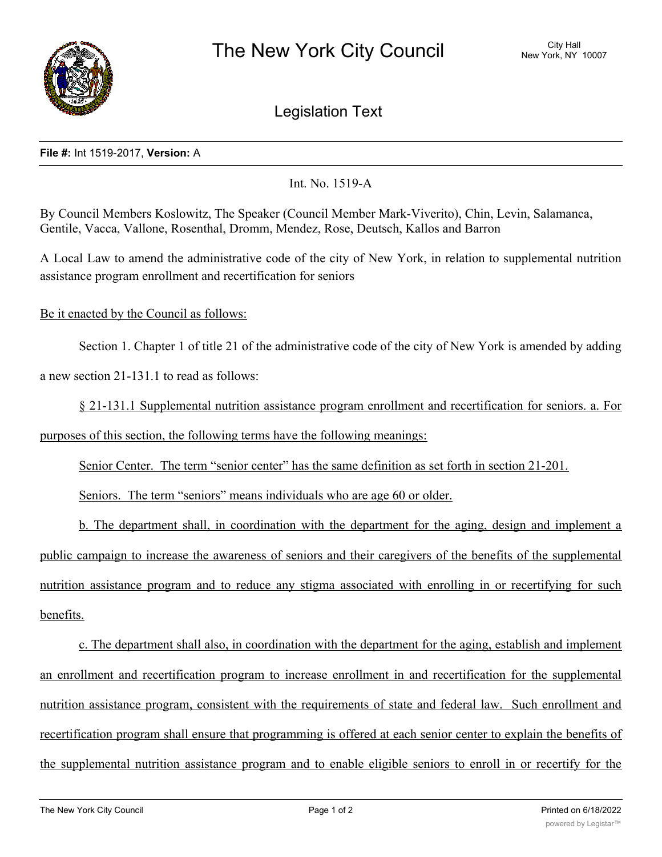

Legislation Text

## **File #:** Int 1519-2017, **Version:** A

## Int. No. 1519-A

By Council Members Koslowitz, The Speaker (Council Member Mark-Viverito), Chin, Levin, Salamanca, Gentile, Vacca, Vallone, Rosenthal, Dromm, Mendez, Rose, Deutsch, Kallos and Barron

A Local Law to amend the administrative code of the city of New York, in relation to supplemental nutrition assistance program enrollment and recertification for seniors

Be it enacted by the Council as follows:

Section 1. Chapter 1 of title 21 of the administrative code of the city of New York is amended by adding

a new section 21-131.1 to read as follows:

§ 21-131.1 Supplemental nutrition assistance program enrollment and recertification for seniors. a. For purposes of this section, the following terms have the following meanings:

Senior Center. The term "senior center" has the same definition as set forth in section 21-201.

Seniors. The term "seniors" means individuals who are age 60 or older.

b. The department shall, in coordination with the department for the aging, design and implement a public campaign to increase the awareness of seniors and their caregivers of the benefits of the supplemental nutrition assistance program and to reduce any stigma associated with enrolling in or recertifying for such benefits.

c. The department shall also, in coordination with the department for the aging, establish and implement an enrollment and recertification program to increase enrollment in and recertification for the supplemental nutrition assistance program, consistent with the requirements of state and federal law. Such enrollment and recertification program shall ensure that programming is offered at each senior center to explain the benefits of the supplemental nutrition assistance program and to enable eligible seniors to enroll in or recertify for the